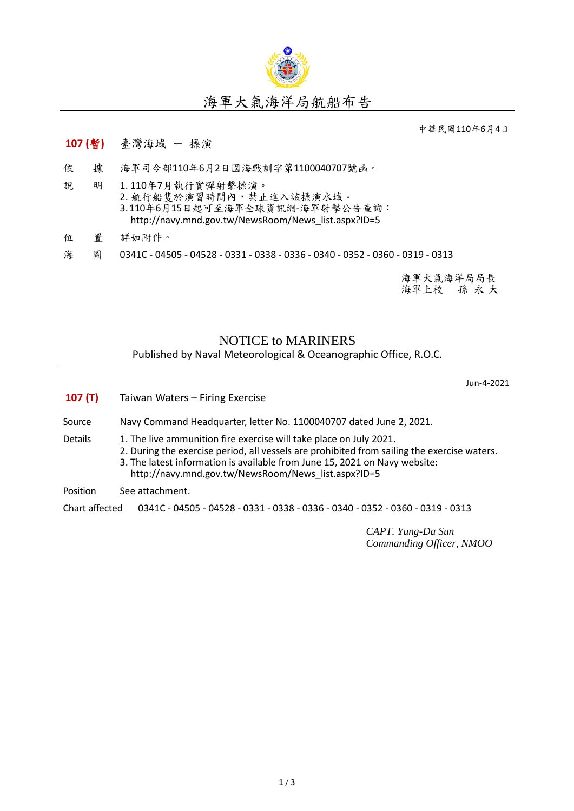

## 海軍大氣海洋局航船布告

中華民國110年6月4日

## **107 (**暫**)** 臺灣海域 - 操演

- 依 據 海軍司令部110年6月2日國海戰訓字第1100040707號函。
- 說 明 1. 110年7月執行實彈射擊操演。 2. 航行船售於演習時間內,禁止進入該操演水域。 3.110年6月15日起可至海軍全球資訊網-海軍射擊公告查詢: [http://navy.mnd.gov.tw/NewsRoom/News\\_list.aspx?ID=5](http://navy.mnd.gov.tw/NewsRoom/News_list.aspx?ID=5)
- 位 置 詳如附件。
- 海 圖 0341C 04505 04528 0331 0338 0336 0340 0352 0360 0319 0313

海軍大氣海洋局局長 海軍上校 孫 永 大

## NOTICE to MARINERS Published by Naval Meteorological & Oceanographic Office, R.O.C.

Jun-4-2021

| 107(T)         | Taiwan Waters – Firing Exercise                                                                                                                                                                                                                                                                        |  |  |  |
|----------------|--------------------------------------------------------------------------------------------------------------------------------------------------------------------------------------------------------------------------------------------------------------------------------------------------------|--|--|--|
| Source         | Navy Command Headquarter, letter No. 1100040707 dated June 2, 2021.                                                                                                                                                                                                                                    |  |  |  |
| Details        | 1. The live ammunition fire exercise will take place on July 2021.<br>2. During the exercise period, all vessels are prohibited from sailing the exercise waters.<br>3. The latest information is available from June 15, 2021 on Navy website:<br>http://navy.mnd.gov.tw/NewsRoom/News list.aspx?ID=5 |  |  |  |
| Position       | See attachment.                                                                                                                                                                                                                                                                                        |  |  |  |
| Chart affected | 0341C - 04505 - 04528 - 0331 - 0338 - 0336 - 0340 - 0352 - 0360 - 0319 - 0313                                                                                                                                                                                                                          |  |  |  |

*CAPT. Yung-Da Sun Commanding Officer, NMOO*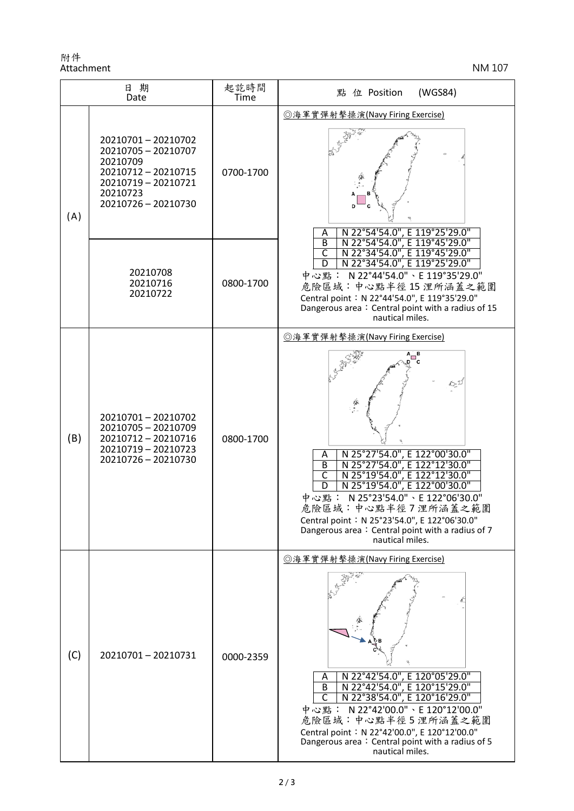附件 Attachment NM 107

| 日期<br>Date |                                                                                                                                       | 起訖時間<br>Time | 點 位 Position<br>(WGS84)                                                                                                                                                                                                                                                                                                                                                                 |
|------------|---------------------------------------------------------------------------------------------------------------------------------------|--------------|-----------------------------------------------------------------------------------------------------------------------------------------------------------------------------------------------------------------------------------------------------------------------------------------------------------------------------------------------------------------------------------------|
| (A)        | 20210701-20210702<br>20210705 - 20210707<br>20210709<br>20210712 - 20210715<br>20210719 - 20210721<br>20210723<br>20210726 - 20210730 | 0700-1700    | ◎海軍實彈射擊操演(Navy Firing Exercise)<br>N 22°54'54.0", E 119°25'29.0"<br>Α<br>$\overline{B}$<br>N 22°54'54.0", E 119°45'29.0"<br>N 22°34'54.0", E 119°45'29.0"<br>С<br>N 22°34'54.0", E 119°25'29.0"<br>D<br>中心點: N22°44'54.0"、E 119°35'29.0"<br>危險區域:中心點半徑15浬所涵蓋之範圍<br>Central point: N 22°44'54.0", E 119°35'29.0"<br>Dangerous area: Central point with a radius of 15<br>nautical miles. |
|            | 20210708<br>20210716<br>20210722                                                                                                      | 0800-1700    |                                                                                                                                                                                                                                                                                                                                                                                         |
| (B)        | 20210701-20210702<br>20210705 - 20210709<br>20210712 - 20210716<br>20210719 - 20210723<br>20210726 - 20210730                         | 0800-1700    | ◎海軍實彈射擊操演(Navy Firing Exercise)<br>N 25°27'54.0", E 122°00'30.0"<br>A<br>N 25°27'54.0", E 122°12'30.0"<br>$\overline{B}$<br>N 25°19'54.0", E 122°12'30.0"<br>C<br>N 25°19'54.0", E 122°00'30.0"<br>D<br>中心點: N 25°23'54.0"、E 122°06'30.0"<br>危險區域:中心點半徑7浬所涵蓋之範圍<br>Central point: N 25°23'54.0", E 122°06'30.0"<br>Dangerous area: Central point with a radius of 7<br>nautical miles.  |
| (C)        | 20210701-20210731                                                                                                                     | 0000-2359    | ◎海軍實彈射擊操演(Navy Firing Exercise)<br>N 22°42'54.0", E 120°05'29.0"<br>Α<br>N 22°42'54.0", E 120°15'29.0"<br>В<br>N 22°38'54.0", E 120°16'29.0"<br>C<br>中心點: N22°42'00.0"、E 120°12'00.0"<br>危險區域:中心點半徑5浬所涵蓋之範圍<br>Central point: N 22°42'00.0", E 120°12'00.0"<br>Dangerous area: Central point with a radius of 5<br>nautical miles.                                                      |